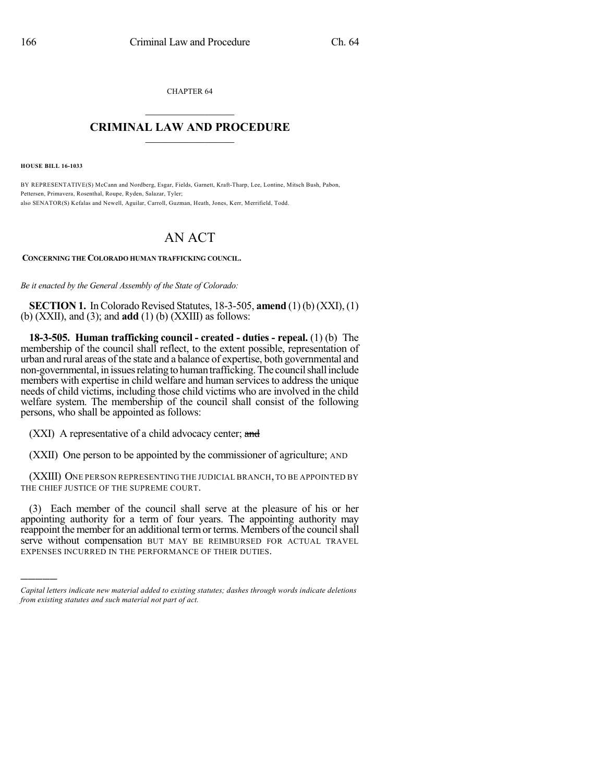CHAPTER 64  $\mathcal{L}_\text{max}$  . The set of the set of the set of the set of the set of the set of the set of the set of the set of the set of the set of the set of the set of the set of the set of the set of the set of the set of the set

## **CRIMINAL LAW AND PROCEDURE**  $\frac{1}{2}$  ,  $\frac{1}{2}$  ,  $\frac{1}{2}$  ,  $\frac{1}{2}$  ,  $\frac{1}{2}$  ,  $\frac{1}{2}$  ,  $\frac{1}{2}$

**HOUSE BILL 16-1033**

)))))

BY REPRESENTATIVE(S) McCann and Nordberg, Esgar, Fields, Garnett, Kraft-Tharp, Lee, Lontine, Mitsch Bush, Pabon, Pettersen, Primavera, Rosenthal, Roupe, Ryden, Salazar, Tyler; also SENATOR(S) Kefalas and Newell, Aguilar, Carroll, Guzman, Heath, Jones, Kerr, Merrifield, Todd.

## AN ACT

**CONCERNING THE COLORADO HUMAN TRAFFICKING COUNCIL.**

*Be it enacted by the General Assembly of the State of Colorado:*

**SECTION 1.** In Colorado Revised Statutes, 18-3-505, **amend** (1) (b) (XXI), (1) (b) (XXII), and (3); and **add** (1) (b) (XXIII) as follows:

**18-3-505. Human trafficking council - created - duties - repeal.** (1) (b) The membership of the council shall reflect, to the extent possible, representation of urban and rural areas of the state and a balance of expertise, both governmental and non-governmental, in issues relating to human trafficking. The council shall include members with expertise in child welfare and human services to address the unique needs of child victims, including those child victims who are involved in the child welfare system. The membership of the council shall consist of the following persons, who shall be appointed as follows:

(XXI) A representative of a child advocacy center; and

(XXII) One person to be appointed by the commissioner of agriculture; AND

(XXIII) ONE PERSON REPRESENTING THE JUDICIAL BRANCH, TO BE APPOINTED BY THE CHIEF JUSTICE OF THE SUPREME COURT.

(3) Each member of the council shall serve at the pleasure of his or her appointing authority for a term of four years. The appointing authority may reappoint the member for an additional term or terms. Members of the council shall serve without compensation BUT MAY BE REIMBURSED FOR ACTUAL TRAVEL EXPENSES INCURRED IN THE PERFORMANCE OF THEIR DUTIES.

*Capital letters indicate new material added to existing statutes; dashes through words indicate deletions from existing statutes and such material not part of act.*